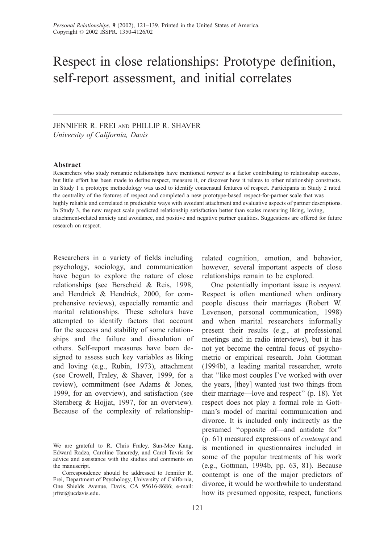# Respect in close relationships: Prototype definition, self-report assessment, and initial correlates

# JENNIFER R. FREI AND PHILLIP R. SHAVER University of California, Davis

#### Abstract

Researchers who study romantic relationships have mentioned *respect* as a factor contributing to relationship success, but little effort has been made to define respect, measure it, or discover how it relates to other relationship constructs. In Study 1 a prototype methodology was used to identify consensual features of respect. Participants in Study 2 rated the centrality of the features of respect and completed a new prototype-based respect-for-partner scale that was highly reliable and correlated in predictable ways with avoidant attachment and evaluative aspects of partner descriptions. In Study 3, the new respect scale predicted relationship satisfaction better than scales measuring liking, loving, attachment-related anxiety and avoidance, and positive and negative partner qualities. Suggestions are offered for future research on respect.

Researchers in a variety of fields including psychology, sociology, and communication have begun to explore the nature of close relationships (see Berscheid & Reis, 1998, and Hendrick & Hendrick, 2000, for comprehensive reviews), especially romantic and marital relationships. These scholars have attempted to identify factors that account for the success and stability of some relationships and the failure and dissolution of others. Self-report measures have been designed to assess such key variables as liking and loving (e.g., Rubin, 1973), attachment (see Crowell, Fraley, & Shaver, 1999, for a review), commitment (see Adams & Jones, 1999, for an overview), and satisfaction (see Sternberg & Hojjat, 1997, for an overview). Because of the complexity of relationshiprelated cognition, emotion, and behavior, however, several important aspects of close relationships remain to be explored.

One potentially important issue is respect. Respect is often mentioned when ordinary people discuss their marriages (Robert W. Levenson, personal communication, 1998) and when marital researchers informally present their results (e.g., at professional meetings and in radio interviews), but it has not yet become the central focus of psychometric or empirical research. John Gottman (1994b), a leading marital researcher, wrote that ''like most couples I've worked with over the years, [they] wanted just two things from their marriage—love and respect'' (p. 18). Yet respect does not play a formal role in Gottman's model of marital communication and divorce. It is included only indirectly as the presumed ''opposite of—and antidote for'' (p. 61) measured expressions of contempt and is mentioned in questionnaires included in some of the popular treatments of his work (e.g., Gottman, 1994b, pp. 63, 81). Because contempt is one of the major predictors of divorce, it would be worthwhile to understand how its presumed opposite, respect, functions

We are grateful to R. Chris Fraley, Sun-Mee Kang, Edward Radza, Caroline Tancredy, and Carol Tavris for advice and assistance with the studies and comments on the manuscript.

Correspondence should be addressed to Jennifer R. Frei, Department of Psychology, University of California, One Shields Avenue, Davis, CA 95616-8686; e-mail: jrfrei@ucdavis.edu.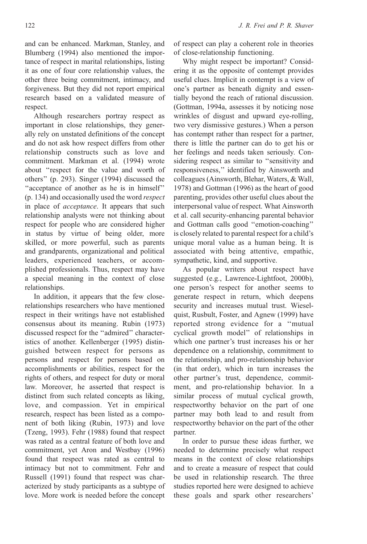and can be enhanced. Markman, Stanley, and Blumberg (1994) also mentioned the importance of respect in marital relationships, listing it as one of four core relationship values, the other three being commitment, intimacy, and forgiveness. But they did not report empirical research based on a validated measure of respect.

Although researchers portray respect as important in close relationships, they generally rely on unstated definitions of the concept and do not ask how respect differs from other relationship constructs such as love and commitment. Markman et al. (1994) wrote about ''respect for the value and worth of others'' (p. 293). Singer (1994) discussed the ''acceptance of another as he is in himself'' (p. 134) and occasionally used the word respect in place of acceptance. It appears that such relationship analysts were not thinking about respect for people who are considered higher in status by virtue of being older, more skilled, or more powerful, such as parents and grandparents, organizational and political leaders, experienced teachers, or accomplished professionals. Thus, respect may have a special meaning in the context of close relationships.

In addition, it appears that the few closerelationships researchers who have mentioned respect in their writings have not established consensus about its meaning. Rubin (1973) discussed respect for the ''admired'' characteristics of another. Kellenberger (1995) distinguished between respect for persons as persons and respect for persons based on accomplishments or abilities, respect for the rights of others, and respect for duty or moral law. Moreover, he asserted that respect is distinct from such related concepts as liking, love, and compassion. Yet in empirical research, respect has been listed as a component of both liking (Rubin, 1973) and love (Tzeng, 1993). Fehr (1988) found that respect was rated as a central feature of both love and commitment, yet Aron and Westbay (1996) found that respect was rated as central to intimacy but not to commitment. Fehr and Russell (1991) found that respect was characterized by study participants as a subtype of love. More work is needed before the concept of respect can play a coherent role in theories of close-relationship functioning.

Why might respect be important? Considering it as the opposite of contempt provides useful clues. Implicit in contempt is a view of one's partner as beneath dignity and essentially beyond the reach of rational discussion. (Gottman, 1994a, assesses it by noticing nose wrinkles of disgust and upward eye-rolling, two very dismissive gestures.) When a person has contempt rather than respect for a partner, there is little the partner can do to get his or her feelings and needs taken seriously. Considering respect as similar to ''sensitivity and responsiveness,'' identified by Ainsworth and colleagues (Ainsworth, Blehar, Waters, & Wall, 1978) and Gottman (1996) as the heart of good parenting, provides other useful clues about the interpersonal value of respect. What Ainsworth et al. call security-enhancing parental behavior and Gottman calls good ''emotion-coaching'' is closely related to parental respect for a child's unique moral value as a human being. It is associated with being attentive, empathic, sympathetic, kind, and supportive.

As popular writers about respect have suggested (e.g., Lawrence-Lightfoot, 2000b), one person's respect for another seems to generate respect in return, which deepens security and increases mutual trust. Wieselquist, Rusbult, Foster, and Agnew (1999) have reported strong evidence for a ''mutual cyclical growth model'' of relationships in which one partner's trust increases his or her dependence on a relationship, commitment to the relationship, and pro-relationship behavior (in that order), which in turn increases the other partner's trust, dependence, commitment, and pro-relationship behavior. In a similar process of mutual cyclical growth, respectworthy behavior on the part of one partner may both lead to and result from respectworthy behavior on the part of the other partner.

In order to pursue these ideas further, we needed to determine precisely what respect means in the context of close relationships and to create a measure of respect that could be used in relationship research. The three studies reported here were designed to achieve these goals and spark other researchers'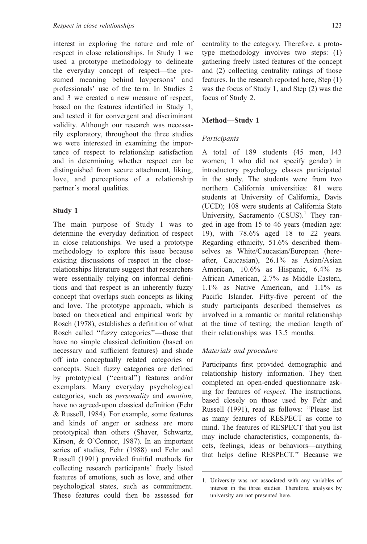interest in exploring the nature and role of respect in close relationships. In Study 1 we used a prototype methodology to delineate the everyday concept of respect—the presumed meaning behind laypersons' and professionals' use of the term. In Studies 2 and 3 we created a new measure of respect, based on the features identified in Study 1, and tested it for convergent and discriminant validity. Although our research was necessarily exploratory, throughout the three studies we were interested in examining the importance of respect to relationship satisfaction and in determining whether respect can be distinguished from secure attachment, liking, love, and perceptions of a relationship partner's moral qualities.

#### Study 1

The main purpose of Study 1 was to determine the everyday definition of respect in close relationships. We used a prototype methodology to explore this issue because existing discussions of respect in the closerelationships literature suggest that researchers were essentially relying on informal definitions and that respect is an inherently fuzzy concept that overlaps such concepts as liking and love. The prototype approach, which is based on theoretical and empirical work by Rosch (1978), establishes a definition of what Rosch called ''fuzzy categories''—those that have no simple classical definition (based on necessary and sufficient features) and shade off into conceptually related categories or concepts. Such fuzzy categories are defined by prototypical (''central'') features and/or exemplars. Many everyday psychological categories, such as personality and emotion, have no agreed-upon classical definition (Fehr & Russell, 1984). For example, some features and kinds of anger or sadness are more prototypical than others (Shaver, Schwartz, Kirson, & O'Connor, 1987). In an important series of studies, Fehr (1988) and Fehr and Russell (1991) provided fruitful methods for collecting research participants' freely listed features of emotions, such as love, and other psychological states, such as commitment. These features could then be assessed for

centrality to the category. Therefore, a prototype methodology involves two steps: (1) gathering freely listed features of the concept and (2) collecting centrality ratings of those features. In the research reported here, Step (1) was the focus of Study 1, and Step (2) was the focus of Study 2.

#### Method—Study 1

#### Participants

A total of 189 students (45 men, 143 women; 1 who did not specify gender) in introductory psychology classes participated in the study. The students were from two northern California universities: 81 were students at University of California, Davis (UCD); 108 were students at California State University, Sacramento  $(CSUS)^{1}$ . They ranged in age from 15 to 46 years (median age: 19), with 78.6% aged 18 to 22 years. Regarding ethnicity, 51.6% described themselves as White/Caucasian/European (hereafter, Caucasian), 26.1% as Asian/Asian American, 10.6% as Hispanic, 6.4% as African American, 2.7% as Middle Eastern, 1.1% as Native American, and 1.1% as Pacific Islander. Fifty-five percent of the study participants described themselves as involved in a romantic or marital relationship at the time of testing; the median length of their relationships was 13.5 months.

#### Materials and procedure

Participants first provided demographic and relationship history information. They then completed an open-ended questionnaire asking for features of respect. The instructions, based closely on those used by Fehr and Russell (1991), read as follows: ''Please list as many features of RESPECT as come to mind. The features of RESPECT that you list may include characteristics, components, facets, feelings, ideas or behaviors—anything that helps define RESPECT.'' Because we

<sup>1.</sup> University was not associated with any variables of interest in the three studies. Therefore, analyses by university are not presented here.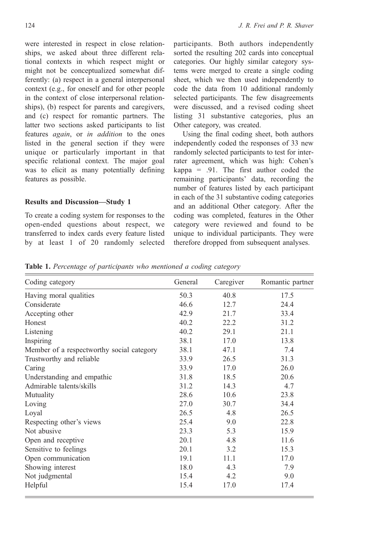were interested in respect in close relationships, we asked about three different relational contexts in which respect might or might not be conceptualized somewhat differently: (a) respect in a general interpersonal context (e.g., for oneself and for other people in the context of close interpersonal relationships), (b) respect for parents and caregivers, and (c) respect for romantic partners. The latter two sections asked participants to list features again, or in addition to the ones listed in the general section if they were unique or particularly important in that specific relational context. The major goal was to elicit as many potentially defining features as possible.

## Results and Discussion—Study 1

To create a coding system for responses to the open-ended questions about respect, we transferred to index cards every feature listed by at least 1 of 20 randomly selected participants. Both authors independently sorted the resulting 202 cards into conceptual categories. Our highly similar category systems were merged to create a single coding sheet, which we then used independently to code the data from 10 additional randomly selected participants. The few disagreements were discussed, and a revised coding sheet listing 31 substantive categories, plus an Other category, was created.

Using the final coding sheet, both authors independently coded the responses of 33 new randomly selected participants to test for interrater agreement, which was high: Cohen's kappa =  $.91$ . The first author coded the remaining participants' data, recording the number of features listed by each participant in each of the 31 substantive coding categories and an additional Other category. After the coding was completed, features in the Other category were reviewed and found to be unique to individual participants. They were therefore dropped from subsequent analyses.

Table 1. Percentage of participants who mentioned a coding category

| Coding category                           | General | Caregiver | Romantic partner |
|-------------------------------------------|---------|-----------|------------------|
| Having moral qualities                    | 50.3    | 40.8      | 17.5             |
| Considerate                               | 46.6    | 12.7      | 24.4             |
| Accepting other                           | 42.9    | 21.7      | 33.4             |
| Honest                                    | 40.2    | 22.2      | 31.2             |
| Listening                                 | 40.2    | 29.1      | 21.1             |
| Inspiring                                 | 38.1    | 17.0      | 13.8             |
| Member of a respectworthy social category | 38.1    | 47.1      | 7.4              |
| Trustworthy and reliable                  | 33.9    | 26.5      | 31.3             |
| Caring                                    | 33.9    | 17.0      | 26.0             |
| Understanding and empathic                | 31.8    | 18.5      | 20.6             |
| Admirable talents/skills                  | 31.2    | 14.3      | 4.7              |
| Mutuality                                 | 28.6    | 10.6      | 23.8             |
| Loving                                    | 27.0    | 30.7      | 34.4             |
| Loyal                                     | 26.5    | 4.8       | 26.5             |
| Respecting other's views                  | 25.4    | 9.0       | 22.8             |
| Not abusive                               | 23.3    | 5.3       | 15.9             |
| Open and receptive                        | 20.1    | 4.8       | 11.6             |
| Sensitive to feelings                     | 20.1    | 3.2       | 15.3             |
| Open communication                        | 19.1    | 11.1      | 17.0             |
| Showing interest                          | 18.0    | 4.3       | 7.9              |
| Not judgmental                            | 15.4    | 4.2       | 9.0              |
| Helpful                                   | 15.4    | 17.0      | 17.4             |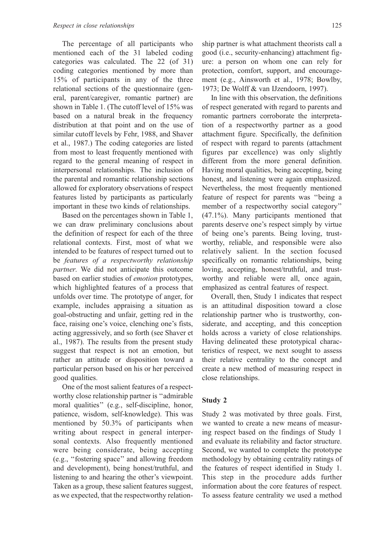The percentage of all participants who mentioned each of the 31 labeled coding categories was calculated. The 22 (of 31) coding categories mentioned by more than 15% of participants in any of the three relational sections of the questionnaire (general, parent/caregiver, romantic partner) are shown in Table 1. (The cutoff level of 15% was based on a natural break in the frequency distribution at that point and on the use of similar cutoff levels by Fehr, 1988, and Shaver et al., 1987.) The coding categories are listed from most to least frequently mentioned with regard to the general meaning of respect in interpersonal relationships. The inclusion of the parental and romantic relationship sections allowed for exploratory observations of respect features listed by participants as particularly important in these two kinds of relationships.

Based on the percentages shown in Table 1, we can draw preliminary conclusions about the definition of respect for each of the three relational contexts. First, most of what we intended to be features of respect turned out to be features of a respectworthy relationship partner. We did not anticipate this outcome based on earlier studies of emotion prototypes, which highlighted features of a process that unfolds over time. The prototype of anger, for example, includes appraising a situation as goal-obstructing and unfair, getting red in the face, raising one's voice, clenching one's fists, acting aggressively, and so forth (see Shaver et al., 1987). The results from the present study suggest that respect is not an emotion, but rather an attitude or disposition toward a particular person based on his or her perceived good qualities.

One of the most salient features of a respectworthy close relationship partner is ''admirable moral qualities'' (e.g., self-discipline, honor, patience, wisdom, self-knowledge). This was mentioned by 50.3% of participants when writing about respect in general interpersonal contexts. Also frequently mentioned were being considerate, being accepting (e.g., ''fostering space'' and allowing freedom and development), being honest/truthful, and listening to and hearing the other's viewpoint. Taken as a group, these salient features suggest, as we expected, that the respectworthy relationship partner is what attachment theorists call a good (i.e., security-enhancing) attachment figure: a person on whom one can rely for protection, comfort, support, and encouragement (e.g., Ainsworth et al., 1978; Bowlby, 1973; De Wolff & van IJzendoorn, 1997).

In line with this observation, the definitions of respect generated with regard to parents and romantic partners corroborate the interpretation of a respectworthy partner as a good attachment figure. Specifically, the definition of respect with regard to parents (attachment figures par excellence) was only slightly different from the more general definition. Having moral qualities, being accepting, being honest, and listening were again emphasized. Nevertheless, the most frequently mentioned feature of respect for parents was ''being a member of a respectworthy social category'' (47.1%). Many participants mentioned that parents deserve one's respect simply by virtue of being one's parents. Being loving, trustworthy, reliable, and responsible were also relatively salient. In the section focused specifically on romantic relationships, being loving, accepting, honest/truthful, and trustworthy and reliable were all, once again, emphasized as central features of respect.

Overall, then, Study 1 indicates that respect is an attitudinal disposition toward a close relationship partner who is trustworthy, considerate, and accepting, and this conception holds across a variety of close relationships. Having delineated these prototypical characteristics of respect, we next sought to assess their relative centrality to the concept and create a new method of measuring respect in close relationships.

## Study 2

Study 2 was motivated by three goals. First, we wanted to create a new means of measuring respect based on the findings of Study 1 and evaluate its reliability and factor structure. Second, we wanted to complete the prototype methodology by obtaining centrality ratings of the features of respect identified in Study 1. This step in the procedure adds further information about the core features of respect. To assess feature centrality we used a method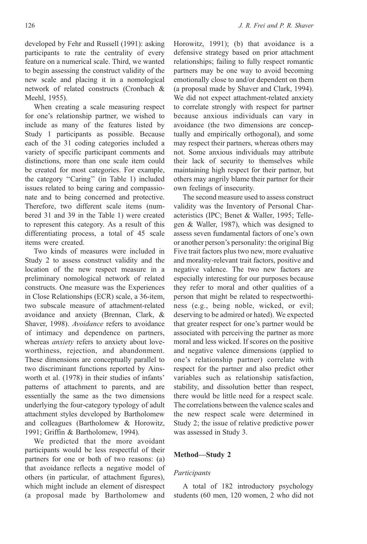developed by Fehr and Russell (1991): asking participants to rate the centrality of every feature on a numerical scale. Third, we wanted to begin assessing the construct validity of the new scale and placing it in a nomological network of related constructs (Cronbach & Meehl, 1955).

When creating a scale measuring respect for one's relationship partner, we wished to include as many of the features listed by Study 1 participants as possible. Because each of the 31 coding categories included a variety of specific participant comments and distinctions, more than one scale item could be created for most categories. For example, the category ''Caring'' (in Table 1) included issues related to being caring and compassionate and to being concerned and protective. Therefore, two different scale items (numbered 31 and 39 in the Table 1) were created to represent this category. As a result of this differentiating process, a total of 45 scale items were created.

Two kinds of measures were included in Study 2 to assess construct validity and the location of the new respect measure in a preliminary nomological network of related constructs. One measure was the Experiences in Close Relationships (ECR) scale, a 36-item, two subscale measure of attachment-related avoidance and anxiety (Brennan, Clark, & Shaver, 1998). Avoidance refers to avoidance of intimacy and dependence on partners, whereas *anxiety* refers to anxiety about loveworthiness, rejection, and abandonment. These dimensions are conceptually parallel to two discriminant functions reported by Ainsworth et al. (1978) in their studies of infants' patterns of attachment to parents, and are essentially the same as the two dimensions underlying the four-category typology of adult attachment styles developed by Bartholomew and colleagues (Bartholomew & Horowitz, 1991; Griffin & Bartholomew, 1994).

We predicted that the more avoidant participants would be less respectful of their partners for one or both of two reasons: (a) that avoidance reflects a negative model of others (in particular, of attachment figures), which might include an element of disrespect (a proposal made by Bartholomew and Horowitz, 1991); (b) that avoidance is a defensive strategy based on prior attachment relationships; failing to fully respect romantic partners may be one way to avoid becoming emotionally close to and/or dependent on them (a proposal made by Shaver and Clark, 1994). We did not expect attachment-related anxiety to correlate strongly with respect for partner because anxious individuals can vary in avoidance (the two dimensions are conceptually and empirically orthogonal), and some may respect their partners, whereas others may not. Some anxious individuals may attribute their lack of security to themselves while maintaining high respect for their partner, but others may angrily blame their partner for their own feelings of insecurity.

The second measure used to assess construct validity was the Inventory of Personal Characteristics (IPC; Benet & Waller, 1995; Tellegen & Waller, 1987), which was designed to assess seven fundamental factors of one's own or another person's personality: the original Big Five trait factors plus two new, more evaluative and morality-relevant trait factors, positive and negative valence. The two new factors are especially interesting for our purposes because they refer to moral and other qualities of a person that might be related to respectworthiness (e.g., being noble, wicked, or evil; deserving to be admired or hated). We expected that greater respect for one's partner would be associated with perceiving the partner as more moral and less wicked. If scores on the positive and negative valence dimensions (applied to one's relationship partner) correlate with respect for the partner and also predict other variables such as relationship satisfaction, stability, and dissolution better than respect, there would be little need for a respect scale. The correlations between the valence scales and the new respect scale were determined in Study 2; the issue of relative predictive power was assessed in Study 3.

## Method—Study 2

#### Participants

A total of 182 introductory psychology students (60 men, 120 women, 2 who did not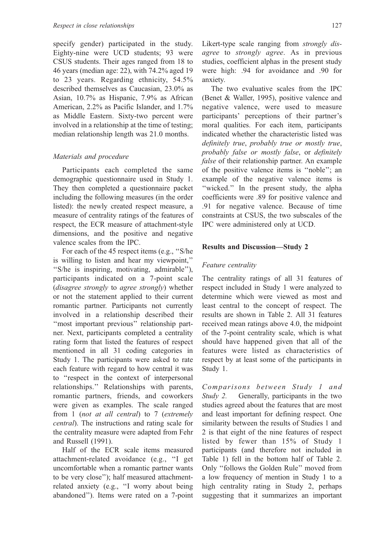specify gender) participated in the study. Eighty-nine were UCD students; 93 were CSUS students. Their ages ranged from 18 to 46 years (median age: 22), with 74.2% aged 19 to 23 years. Regarding ethnicity, 54.5% described themselves as Caucasian, 23.0% as Asian, 10.7% as Hispanic, 7.9% as African American, 2.2% as Pacific Islander, and 1.7% as Middle Eastern. Sixty-two percent were involved in a relationship at the time of testing; median relationship length was 21.0 months.

#### Materials and procedure

Participants each completed the same demographic questionnaire used in Study 1. They then completed a questionnaire packet including the following measures (in the order listed): the newly created respect measure, a measure of centrality ratings of the features of respect, the ECR measure of attachment-style dimensions, and the positive and negative valence scales from the IPC.

For each of the 45 respect items (e.g., ''S/he is willing to listen and hear my viewpoint,'' ''S/he is inspiring, motivating, admirable''), participants indicated on a 7-point scale (disagree strongly to agree strongly) whether or not the statement applied to their current romantic partner. Participants not currently involved in a relationship described their ''most important previous'' relationship partner. Next, participants completed a centrality rating form that listed the features of respect mentioned in all 31 coding categories in Study 1. The participants were asked to rate each feature with regard to how central it was to ''respect in the context of interpersonal relationships.'' Relationships with parents, romantic partners, friends, and coworkers were given as examples. The scale ranged from 1 (not at all central) to 7 (extremely central). The instructions and rating scale for the centrality measure were adapted from Fehr and Russell (1991).

Half of the ECR scale items measured attachment-related avoidance (e.g., ''I get uncomfortable when a romantic partner wants to be very close''); half measured attachmentrelated anxiety (e.g., ''I worry about being abandoned''). Items were rated on a 7-point Likert-type scale ranging from *strongly dis*agree to strongly agree. As in previous studies, coefficient alphas in the present study were high: .94 for avoidance and .90 for anxiety.

The two evaluative scales from the IPC (Benet & Waller, 1995), positive valence and negative valence, were used to measure participants' perceptions of their partner's moral qualities. For each item, participants indicated whether the characteristic listed was definitely true, probably true or mostly true, probably false or mostly false, or definitely false of their relationship partner. An example of the positive valence items is ''noble''; an example of the negative valence items is "wicked." In the present study, the alpha coefficients were .89 for positive valence and .91 for negative valence. Because of time constraints at CSUS, the two subscales of the IPC were administered only at UCD.

#### Results and Discussion—Study 2

#### Feature centrality

The centrality ratings of all 31 features of respect included in Study 1 were analyzed to determine which were viewed as most and least central to the concept of respect. The results are shown in Table 2. All 31 features received mean ratings above 4.0, the midpoint of the 7-point centrality scale, which is what should have happened given that all of the features were listed as characteristics of respect by at least some of the participants in Study 1.

Comparisons between Study 1 and Study 2. Generally, participants in the two studies agreed about the features that are most and least important for defining respect. One similarity between the results of Studies 1 and 2 is that eight of the nine features of respect listed by fewer than 15% of Study 1 participants (and therefore not included in Table 1) fell in the bottom half of Table 2. Only ''follows the Golden Rule'' moved from a low frequency of mention in Study 1 to a high centrality rating in Study 2, perhaps suggesting that it summarizes an important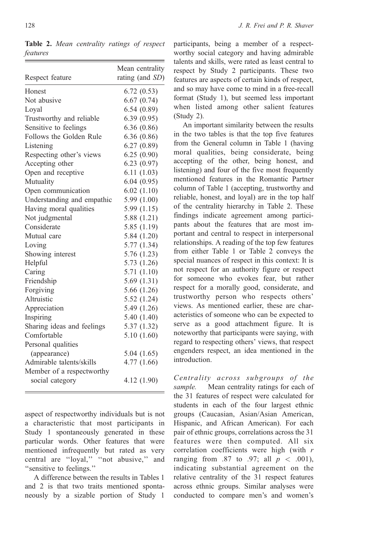Table 2. Mean centrality ratings of respect features

|                            | Mean centrality |
|----------------------------|-----------------|
| Respect feature            | rating (and SD) |
| Honest                     | 6.72(0.53)      |
| Not abusive                | 6.67(0.74)      |
| Loyal                      | 6.54(0.89)      |
| Trustworthy and reliable   | 6.39(0.95)      |
| Sensitive to feelings      | 6.36(0.86)      |
| Follows the Golden Rule    | 6.36(0.86)      |
| Listening                  | 6.27(0.89)      |
| Respecting other's views   | 6.25(0.90)      |
| Accepting other            | 6.23(0.97)      |
| Open and receptive         | 6.11(1.03)      |
| Mutuality                  | 6.04(0.95)      |
| Open communication         | 6.02(1.10)      |
| Understanding and empathic | 5.99(1.00)      |
| Having moral qualities     | 5.99(1.15)      |
| Not judgmental             | 5.88 (1.21)     |
| Considerate                | 5.85 (1.19)     |
| Mutual care                | 5.84(1.20)      |
| Loving                     | 5.77(1.34)      |
| Showing interest           | 5.76 (1.23)     |
| Helpful                    | 5.73 (1.26)     |
| Caring                     | 5.71(1.10)      |
| Friendship                 | 5.69(1.31)      |
| Forgiving                  | 5.66 (1.26)     |
| Altruistic                 | 5.52 (1.24)     |
| Appreciation               | 5.49 (1.26)     |
| Inspiring                  | 5.40 (1.40)     |
| Sharing ideas and feelings | 5.37 (1.32)     |
| Comfortable                | 5.10(1.60)      |
| Personal qualities         |                 |
| (appearance)               | 5.04(1.65)      |
| Admirable talents/skills   | 4.77(1.66)      |
| Member of a respectworthy  |                 |
| social category            | 4.12 (1.90)     |
|                            |                 |

aspect of respectworthy individuals but is not a characteristic that most participants in Study 1 spontaneously generated in these particular words. Other features that were mentioned infrequently but rated as very central are ''loyal,'' ''not abusive,'' and ''sensitive to feelings.''

A difference between the results in Tables 1 and 2 is that two traits mentioned spontaneously by a sizable portion of Study 1

participants, being a member of a respectworthy social category and having admirable talents and skills, were rated as least central to respect by Study 2 participants. These two features are aspects of certain kinds of respect, and so may have come to mind in a free-recall format (Study 1), but seemed less important when listed among other salient features (Study 2).

An important similarity between the results in the two tables is that the top five features from the General column in Table 1 (having moral qualities, being considerate, being accepting of the other, being honest, and listening) and four of the five most frequently mentioned features in the Romantic Partner column of Table 1 (accepting, trustworthy and reliable, honest, and loyal) are in the top half of the centrality hierarchy in Table 2. These findings indicate agreement among participants about the features that are most important and central to respect in interpersonal relationships. A reading of the top few features from either Table 1 or Table 2 conveys the special nuances of respect in this context: It is not respect for an authority figure or respect for someone who evokes fear, but rather respect for a morally good, considerate, and trustworthy person who respects others' views. As mentioned earlier, these are characteristics of someone who can be expected to serve as a good attachment figure. It is noteworthy that participants were saying, with regard to respecting others' views, that respect engenders respect, an idea mentioned in the introduction.

Centrality across subgroups of the sample. Mean centrality ratings for each of the 31 features of respect were calculated for students in each of the four largest ethnic groups (Caucasian, Asian/Asian American, Hispanic, and African American). For each pair of ethnic groups, correlations across the 31 features were then computed. All six correlation coefficients were high (with r ranging from .87 to .97; all  $p < .001$ ), indicating substantial agreement on the relative centrality of the 31 respect features across ethnic groups. Similar analyses were conducted to compare men's and women's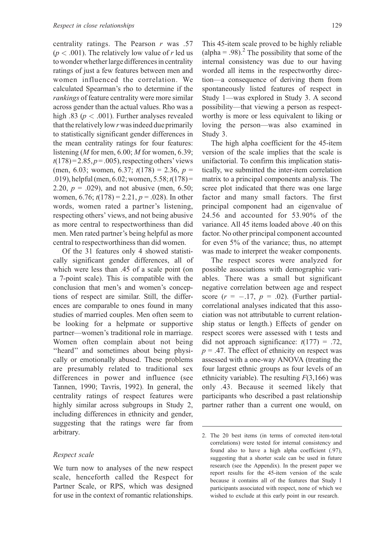centrality ratings. The Pearson  $r$  was .57  $(p < .001)$ . The relatively low value of r led us to wonder whether large differences in centrality ratings of just a few features between men and women influenced the correlation. We calculated Spearman's rho to determine if the rankings of feature centrality were more similar across gender than the actual values. Rho was a high .83 ( $p < .001$ ). Further analyses revealed that the relatively low  $r$  was indeed due primarily to statistically significant gender differences in the mean centrality ratings for four features: listening (*M* for men, 6.00; *M* for women, 6.39;  $t(178)=2.85, p=.005$ , respecting others' views (men, 6.03; women, 6.37;  $t(178) = 2.36$ ,  $p =$ .019), helpful (men, 6.02; women, 5.58;  $t(178)$  = 2.20,  $p = .029$ ), and not abusive (men, 6.50; women, 6.76;  $t(178) = 2.21$ ,  $p = .028$ ). In other words, women rated a partner's listening, respecting others' views, and not being abusive as more central to respectworthiness than did men. Men rated partner's being helpful as more central to respectworthiness than did women.

Of the 31 features only 4 showed statistically significant gender differences, all of which were less than .45 of a scale point (on a 7-point scale). This is compatible with the conclusion that men's and women's conceptions of respect are similar. Still, the differences are comparable to ones found in many studies of married couples. Men often seem to be looking for a helpmate or supportive partner—women's traditional role in marriage. Women often complain about not being ''heard'' and sometimes about being physically or emotionally abused. These problems are presumably related to traditional sex differences in power and influence (see Tannen, 1990; Tavris, 1992). In general, the centrality ratings of respect features were highly similar across subgroups in Study 2, including differences in ethnicity and gender, suggesting that the ratings were far from arbitrary.

#### Respect scale

We turn now to analyses of the new respect scale, henceforth called the Respect for Partner Scale, or RPS, which was designed for use in the context of romantic relationships.

This 45-item scale proved to be highly reliable (alpha = .98).<sup>2</sup> The possibility that some of the internal consistency was due to our having worded all items in the respectworthy direction—a consequence of deriving them from spontaneously listed features of respect in Study 1—was explored in Study 3. A second possibility—that viewing a person as respectworthy is more or less equivalent to liking or loving the person—was also examined in Study 3.

The high alpha coefficient for the 45-item version of the scale implies that the scale is unifactorial. To confirm this implication statistically, we submitted the inter-item correlation matrix to a principal components analysis. The scree plot indicated that there was one large factor and many small factors. The first principal component had an eigenvalue of 24.56 and accounted for 53.90% of the variance. All 45 items loaded above .40 on this factor. No other principal component accounted for even 5% of the variance; thus, no attempt was made to interpret the weaker components.

The respect scores were analyzed for possible associations with demographic variables. There was a small but significant negative correlation between age and respect score  $(r = -.17, p = .02)$ . (Further partialcorrelational analyses indicated that this association was not attributable to current relationship status or length.) Effects of gender on respect scores were assessed with t tests and did not approach significance:  $t(177) = .72$ ,  $p = .47$ . The effect of ethnicity on respect was assessed with a one-way ANOVA (treating the four largest ethnic groups as four levels of an ethnicity variable). The resulting  $F(3,166)$  was only .43. Because it seemed likely that participants who described a past relationship partner rather than a current one would, on

<sup>2.</sup> The 20 best items (in terms of corrected item-total correlations) were tested for internal consistency and found also to have a high alpha coefficient (.97), suggesting that a shorter scale can be used in future research (see the Appendix). In the present paper we report results for the 45-item version of the scale because it contains all of the features that Study 1 participants associated with respect, none of which we wished to exclude at this early point in our research.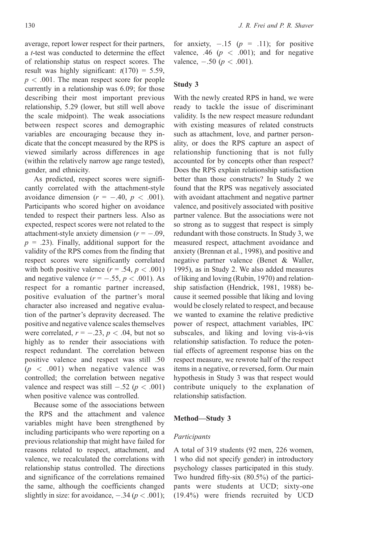average, report lower respect for their partners, a t-test was conducted to determine the effect of relationship status on respect scores. The result was highly significant:  $t(170) = 5.59$ ,  $p < .001$ . The mean respect score for people currently in a relationship was 6.09; for those describing their most important previous relationship, 5.29 (lower, but still well above the scale midpoint). The weak associations between respect scores and demographic variables are encouraging because they indicate that the concept measured by the RPS is viewed similarly across differences in age (within the relatively narrow age range tested), gender, and ethnicity.

As predicted, respect scores were significantly correlated with the attachment-style avoidance dimension  $(r = -.40, p < .001)$ . Participants who scored higher on avoidance tended to respect their partners less. Also as expected, respect scores were not related to the attachment-style anxiety dimension  $(r = -.09)$ ,  $p = .23$ ). Finally, additional support for the validity of the RPS comes from the finding that respect scores were significantly correlated with both positive valence  $(r = .54, p < .001)$ and negative valence  $(r = -.55, p < .001)$ . As respect for a romantic partner increased, positive evaluation of the partner's moral character also increased and negative evaluation of the partner's depravity decreased. The positive and negative valence scales themselves were correlated,  $r = -.23$ ,  $p < .04$ , but not so highly as to render their associations with respect redundant. The correlation between positive valence and respect was still .50  $(p < .001)$  when negative valence was controlled; the correlation between negative valence and respect was still  $-.52$  ( $p < .001$ ) when positive valence was controlled.

Because some of the associations between the RPS and the attachment and valence variables might have been strengthened by including participants who were reporting on a previous relationship that might have failed for reasons related to respect, attachment, and valence, we recalculated the correlations with relationship status controlled. The directions and significance of the correlations remained the same, although the coefficients changed slightly in size: for avoidance,  $-.34 (p < .001)$ ; for anxiety,  $-.15$  ( $p = .11$ ); for positive valence, .46 ( $p < .001$ ); and for negative valence,  $-.50$  ( $p < .001$ ).

#### Study 3

With the newly created RPS in hand, we were ready to tackle the issue of discriminant validity. Is the new respect measure redundant with existing measures of related constructs such as attachment, love, and partner personality, or does the RPS capture an aspect of relationship functioning that is not fully accounted for by concepts other than respect? Does the RPS explain relationship satisfaction better than those constructs? In Study 2 we found that the RPS was negatively associated with avoidant attachment and negative partner valence, and positively associated with positive partner valence. But the associations were not so strong as to suggest that respect is simply redundant with those constructs. In Study 3, we measured respect, attachment avoidance and anxiety (Brennan et al., 1998), and positive and negative partner valence (Benet & Waller, 1995), as in Study 2. We also added measures of liking and loving (Rubin, 1970) and relationship satisfaction (Hendrick, 1981, 1988) because it seemed possible that liking and loving would be closely related to respect, and because we wanted to examine the relative predictive power of respect, attachment variables, IPC subscales, and liking and loving vis-à-vis relationship satisfaction. To reduce the potential effects of agreement response bias on the respect measure, we rewrote half of the respect items in a negative, or reversed, form. Our main hypothesis in Study 3 was that respect would contribute uniquely to the explanation of relationship satisfaction.

#### Method—Study 3

#### Participants

A total of 319 students (92 men, 226 women, 1 who did not specify gender) in introductory psychology classes participated in this study. Two hundred fifty-six (80.5%) of the participants were students at UCD; sixty-one (19.4%) were friends recruited by UCD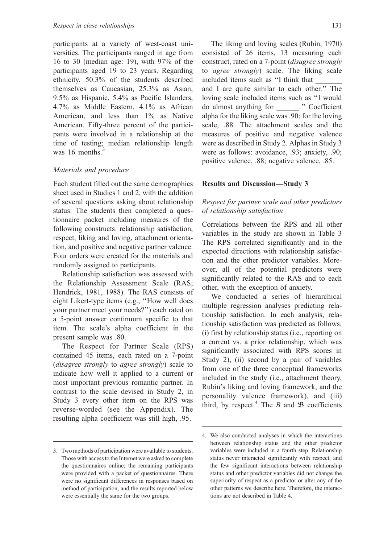participants at a variety of west-coast universities. The participants ranged in age from 16 to 30 (median age: 19), with 97% of the participants aged 19 to 23 years. Regarding ethnicity, 50.3% of the students described themselves as Caucasian, 25.3% as Asian, 9.5% as Hispanic, 5.4% as Pacific Islanders, 4.7% as Middle Eastern, 4.1% as African American, and less than 1% as Native American. Fifty-three percent of the participants were involved in a relationship at the time of testing; median relationship length was  $16$  months. $3$ 

#### Materials and procedure

Each student filled out the same demographics sheet used in Studies 1 and 2, with the addition of several questions asking about relationship status. The students then completed a questionnaire packet including measures of the following constructs: relationship satisfaction, respect, liking and loving, attachment orientation, and positive and negative partner valence. Four orders were created for the materials and randomly assigned to participants.

Relationship satisfaction was assessed with the Relationship Assessment Scale (RAS; Hendrick, 1981, 1988). The RAS consists of eight Likert-type items (e.g., ''How well does your partner meet your needs?'') each rated on a 5-point answer continuum specific to that item. The scale's alpha coefficient in the present sample was .80.

The Respect for Partner Scale (RPS) contained 45 items, each rated on a 7-point (disagree strongly to agree strongly) scale to indicate how well it applied to a current or most important previous romantic partner. In contrast to the scale devised in Study 2, in Study 3 every other item on the RPS was reverse-worded (see the Appendix). The resulting alpha coefficient was still high, .95.

The liking and loving scales (Rubin, 1970) consisted of 26 items, 13 measuring each construct, rated on a 7-point (disagree strongly to agree strongly) scale. The liking scale included items such as "I think that and I are quite similar to each other.'' The loving scale included items such as ''I would do almost anything for  $\hspace{1cm}$  ." Coefficient alpha for the liking scale was .90; for the loving scale, .88. The attachment scales and the measures of positive and negative valence were as described in Study 2. Alphas in Study 3 were as follows: avoidance, .93; anxiety, .90; positive valence, .88; negative valence, .85.

#### Results and Discussion—Study 3

## Respect for partner scale and other predictors of relationship satisfaction

Correlations between the RPS and all other variables in the study are shown in Table 3 The RPS correlated significantly and in the expected directions with relationship satisfaction and the other predictor variables. Moreover, all of the potential predictors were significantly related to the RAS and to each other, with the exception of anxiety.

We conducted a series of hierarchical multiple regression analyses predicting relationship satisfaction. In each analysis, relationship satisfaction was predicted as follows: (i) first by relationship status (i.e., reporting on a current vs. a prior relationship, which was significantly associated with RPS scores in Study 2), (ii) second by a pair of variables from one of the three conceptual frameworks included in the study (i.e., attachment theory, Rubin's liking and loving framework, and the personality valence framework), and (iii) third, by respect.<sup>4</sup> The B and  $\mathfrak{B}$  coefficients

<sup>3.</sup> Two methods of participation were available to students. Those with access to the Internet were asked to complete the questionnaires online; the remaining participants were provided with a packet of questionnaires. There were no significant differences in responses based on method of participation, and the results reported below were essentially the same for the two groups.

<sup>4.</sup> We also conducted analyses in which the interactions between relationship status and the other predictor variables were included in a fourth step. Relationship status never interacted significantly with respect, and the few significant interactions between relationship status and other predictor variables did not change the superiority of respect as a predictor or alter any of the other patterns we describe here. Therefore, the interactions are not described in Table 4.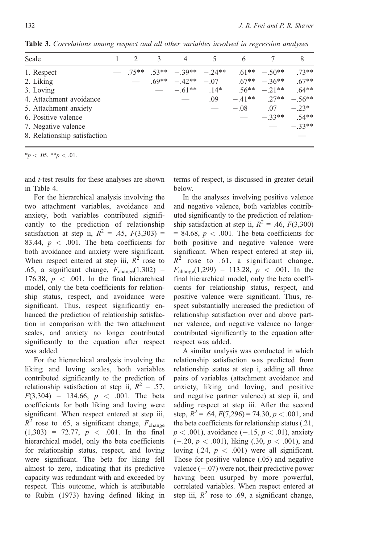| Scale                        |  | $\mathcal{E}$ | $\overline{4}$                                                  | 5.  | 6      |                           | 8              |
|------------------------------|--|---------------|-----------------------------------------------------------------|-----|--------|---------------------------|----------------|
| 1. Respect                   |  |               | $-$ .75** .53** $-$ .39** $-$ .24** .61** $-$ .50**             |     |        |                           | $.73**$        |
| 2. Liking                    |  |               | $.69^{**}$ $-.42^{**}$ $-.07$ $.67^{**}$ $-.36^{**}$ $.67^{**}$ |     |        |                           |                |
| 3. Loving                    |  |               | $ -.61***$ $.14*$ $.56***$ $-.21**$ $.64**$                     |     |        |                           |                |
| 4. Attachment avoidance      |  |               |                                                                 | .09 |        | $-.41***$ .27** $-.56***$ |                |
| 5. Attachment anxiety        |  |               |                                                                 |     | $-.08$ |                           | $.07 - .23*$   |
| 6. Positive valence          |  |               |                                                                 |     |        |                           | $-.33**$ .54** |
| 7. Negative valence          |  |               |                                                                 |     |        |                           | $-33**$        |
| 8. Relationship satisfaction |  |               |                                                                 |     |        |                           |                |

Table 3. Correlations among respect and all other variables involved in regression analyses

 $*_{p}$  < .05.  $*_{p}$  < .01.

and t-test results for these analyses are shown in Table 4.

For the hierarchical analysis involving the two attachment variables, avoidance and anxiety, both variables contributed significantly to the prediction of relationship satisfaction at step ii,  $R^2 = .45$ ,  $F(3,303) =$ 83.44,  $p < .001$ . The beta coefficients for both avoidance and anxiety were significant. When respect entered at step iii,  $R^2$  rose to .65, a significant change,  $F_{change}(1,302)$  = 176.38,  $p < .001$ . In the final hierarchical model, only the beta coefficients for relationship status, respect, and avoidance were significant. Thus, respect significantly enhanced the prediction of relationship satisfaction in comparison with the two attachment scales, and anxiety no longer contributed significantly to the equation after respect was added.

For the hierarchical analysis involving the liking and loving scales, both variables contributed significantly to the prediction of relationship satisfaction at step ii,  $R^2 = .57$ ,  $F(3,304) = 134.66, p < .001$ . The beta coefficients for both liking and loving were significant. When respect entered at step iii,  $R^2$  rose to .65, a significant change,  $F_{change}$  $(1,303) = 72.77, p < .001$ . In the final hierarchical model, only the beta coefficients for relationship status, respect, and loving were significant. The beta for liking fell almost to zero, indicating that its predictive capacity was redundant with and exceeded by respect. This outcome, which is attributable to Rubin (1973) having defined liking in terms of respect, is discussed in greater detail below.

In the analyses involving positive valence and negative valence, both variables contributed significantly to the prediction of relationship satisfaction at step ii,  $R^2 = .46$ ,  $F(3,300)$  $= 84.68$ ,  $p < .001$ . The beta coefficients for both positive and negative valence were significant. When respect entered at step iii,  $R^2$  rose to .61, a significant change,  $F_{change}(1,299) = 113.28, p < .001$ . In the final hierarchical model, only the beta coefficients for relationship status, respect, and positive valence were significant. Thus, respect substantially increased the prediction of relationship satisfaction over and above partner valence, and negative valence no longer contributed significantly to the equation after respect was added.

A similar analysis was conducted in which relationship satisfaction was predicted from relationship status at step i, adding all three pairs of variables (attachment avoidance and anxiety, liking and loving, and positive and negative partner valence) at step ii, and adding respect at step iii. After the second step,  $R^2 = .64$ ,  $F(7,296) = 74.30$ ,  $p < .001$ , and the beta coefficients for relationship status (.21,  $p < .001$ ), avoidance (-.15,  $p < .01$ ), anxiety  $(-.20, p < .001)$ , liking  $(.30, p < .001)$ , and loving  $(.24, p < .001)$  were all significant. Those for positive valence (.05) and negative valence  $(-.07)$  were not, their predictive power having been usurped by more powerful, correlated variables. When respect entered at step iii,  $R^2$  rose to .69, a significant change,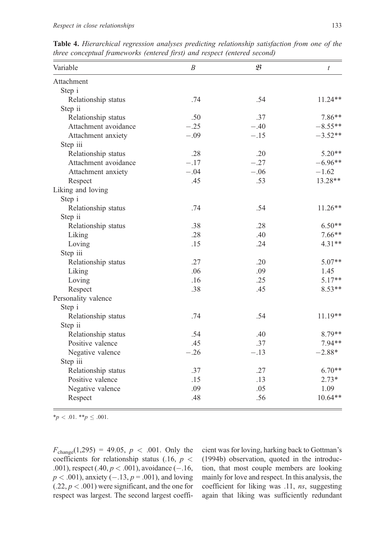| Variable             | $\boldsymbol{B}$ | $\mathfrak{B}$ | $\boldsymbol{t}$ |
|----------------------|------------------|----------------|------------------|
| Attachment           |                  |                |                  |
| Step i               |                  |                |                  |
| Relationship status  | .74              | .54            | $11.24**$        |
| Step ii              |                  |                |                  |
| Relationship status  | .50              | .37            | 7.86**           |
| Attachment avoidance | $-.25$           | $-.40$         | $-8.55**$        |
| Attachment anxiety   | $-.09$           | $-.15$         | $-3.52**$        |
| Step iii             |                  |                |                  |
| Relationship status  | .28              | .20            | $5.20**$         |
| Attachment avoidance | $-.17$           | $-.27$         | $-6.96**$        |
| Attachment anxiety   | $-.04$           | $-.06$         | $-1.62$          |
| Respect              | .45              | .53            | 13.28**          |
| Liking and loving    |                  |                |                  |
| Step i               |                  |                |                  |
| Relationship status  | .74              | .54            | $11.26**$        |
| Step ii              |                  |                |                  |
| Relationship status  | .38              | .28            | $6.50**$         |
| Liking               | .28              | .40            | $7.66**$         |
| Loving               | .15              | .24            | $4.31**$         |
| Step iii             |                  |                |                  |
| Relationship status  | .27              | .20            | 5.07**           |
| Liking               | .06              | .09            | 1.45             |
| Loving               | .16              | .25            | $5.17**$         |
| Respect              | .38              | .45            | $8.53**$         |
| Personality valence  |                  |                |                  |
| Step i               |                  |                |                  |
| Relationship status  | .74              | .54            | 11.19**          |
| Step ii              |                  |                |                  |
| Relationship status  | .54              | .40            | 8.79**           |
| Positive valence     | .45              | .37            | 7.94**           |
| Negative valence     | $-.26$           | $-.13$         | $-2.88*$         |
| Step iii             |                  |                |                  |
| Relationship status  | .37              | .27            | $6.70**$         |
| Positive valence     | .15              | .13            | $2.73*$          |
| Negative valence     | .09              | .05            | 1.09             |
| Respect              | .48              | .56            | $10.64**$        |

Table 4. Hierarchical regression analyses predicting relationship satisfaction from one of the three conceptual frameworks (entered first) and respect (entered second)

 $*_{p} < .01.$   $*_{p} \le .001.$ 

 $F_{change}(1,295) = 49.05, p < .001$ . Only the coefficients for relationship status (.16,  $p <$ .001), respect (.40,  $p < .001$ ), avoidance (-.16,  $p < .001$ ), anxiety (-.13,  $p = .001$ ), and loving  $(0.22, p < 0.001)$  were significant, and the one for respect was largest. The second largest coefficient was for loving, harking back to Gottman's (1994b) observation, quoted in the introduction, that most couple members are looking mainly for love and respect. In this analysis, the coefficient for liking was .11, ns, suggesting again that liking was sufficiently redundant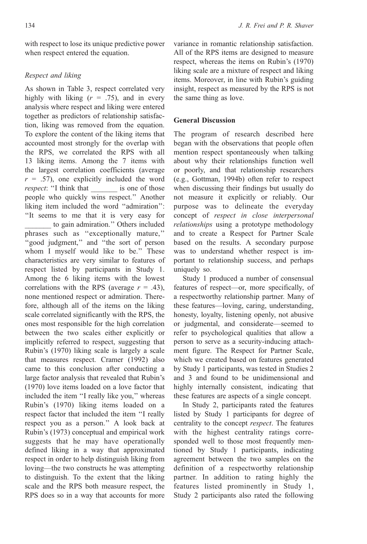## Respect and liking

when respect entered the equation.

As shown in Table 3, respect correlated very highly with liking  $(r = .75)$ , and in every analysis where respect and liking were entered together as predictors of relationship satisfaction, liking was removed from the equation. To explore the content of the liking items that accounted most strongly for the overlap with the RPS, we correlated the RPS with all 13 liking items. Among the 7 items with the largest correlation coefficients (average  $r = .57$ ), one explicitly included the word respect: "I think that \_\_\_\_\_\_\_\_ is one of those people who quickly wins respect.'' Another liking item included the word ''admiration'': ''It seems to me that it is very easy for \_\_\_\_\_\_\_ to gain admiration.'' Others included phrases such as ''exceptionally mature,'' ''good judgment,'' and ''the sort of person whom I myself would like to be.'' These characteristics are very similar to features of respect listed by participants in Study 1. Among the 6 liking items with the lowest correlations with the RPS (average  $r = .43$ ), none mentioned respect or admiration. Therefore, although all of the items on the liking scale correlated significantly with the RPS, the ones most responsible for the high correlation between the two scales either explicitly or

implicitly referred to respect, suggesting that Rubin's (1970) liking scale is largely a scale that measures respect. Cramer (1992) also came to this conclusion after conducting a large factor analysis that revealed that Rubin's (1970) love items loaded on a love factor that included the item ''I really like you,'' whereas Rubin's (1970) liking items loaded on a respect factor that included the item ''I really respect you as a person.'' A look back at Rubin's (1973) conceptual and empirical work suggests that he may have operationally defined liking in a way that approximated respect in order to help distinguish liking from loving—the two constructs he was attempting to distinguish. To the extent that the liking scale and the RPS both measure respect, the RPS does so in a way that accounts for more variance in romantic relationship satisfaction. All of the RPS items are designed to measure respect, whereas the items on Rubin's (1970) liking scale are a mixture of respect and liking items. Moreover, in line with Rubin's guiding insight, respect as measured by the RPS is not the same thing as love.

# General Discussion

The program of research described here began with the observations that people often mention respect spontaneously when talking about why their relationships function well or poorly, and that relationship researchers (e.g., Gottman, 1994b) often refer to respect when discussing their findings but usually do not measure it explicitly or reliably. Our purpose was to delineate the everyday concept of respect in close interpersonal relationships using a prototype methodology and to create a Respect for Partner Scale based on the results. A secondary purpose was to understand whether respect is important to relationship success, and perhaps uniquely so.

Study 1 produced a number of consensual features of respect—or, more specifically, of a respectworthy relationship partner. Many of these features—loving, caring, understanding, honesty, loyalty, listening openly, not abusive or judgmental, and considerate—seemed to refer to psychological qualities that allow a person to serve as a security-inducing attachment figure. The Respect for Partner Scale, which we created based on features generated by Study 1 participants, was tested in Studies 2 and 3 and found to be unidimensional and highly internally consistent, indicating that these features are aspects of a single concept.

In Study 2, participants rated the features listed by Study 1 participants for degree of centrality to the concept respect. The features with the highest centrality ratings corresponded well to those most frequently mentioned by Study 1 participants, indicating agreement between the two samples on the definition of a respectworthy relationship partner. In addition to rating highly the features listed prominently in Study 1, Study 2 participants also rated the following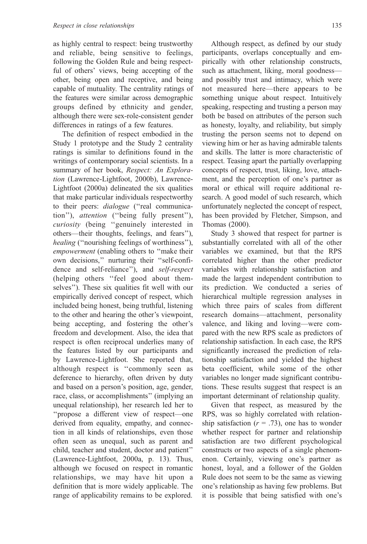as highly central to respect: being trustworthy and reliable, being sensitive to feelings, following the Golden Rule and being respectful of others' views, being accepting of the other, being open and receptive, and being capable of mutuality. The centrality ratings of the features were similar across demographic groups defined by ethnicity and gender, although there were sex-role-consistent gender differences in ratings of a few features.

The definition of respect embodied in the Study 1 prototype and the Study 2 centrality ratings is similar to definitions found in the writings of contemporary social scientists. In a summary of her book, Respect: An Exploration (Lawrence-Lightfoot, 2000b), Lawrence-Lightfoot (2000a) delineated the six qualities that make particular individuals respectworthy to their peers: *dialogue* ("real communication''), attention (''being fully present''), curiosity (being ''genuinely interested in others—their thoughts, feelings, and fears''), healing ("nourishing feelings of worthiness"), empowerment (enabling others to ''make their own decisions,'' nurturing their ''self-confidence and self-reliance''), and self-respect (helping others ''feel good about themselves''). These six qualities fit well with our empirically derived concept of respect, which included being honest, being truthful, listening to the other and hearing the other's viewpoint, being accepting, and fostering the other's freedom and development. Also, the idea that respect is often reciprocal underlies many of the features listed by our participants and by Lawrence-Lightfoot. She reported that, although respect is ''commonly seen as deference to hierarchy, often driven by duty and based on a person's position, age, gender, race, class, or accomplishments'' (implying an unequal relationship), her research led her to ''propose a different view of respect—one derived from equality, empathy, and connection in all kinds of relationships, even those often seen as unequal, such as parent and child, teacher and student, doctor and patient'' (Lawrence-Lightfoot, 2000a, p. 13). Thus, although we focused on respect in romantic relationships, we may have hit upon a definition that is more widely applicable. The range of applicability remains to be explored.

Although respect, as defined by our study participants, overlaps conceptually and empirically with other relationship constructs, such as attachment, liking, moral goodness and possibly trust and intimacy, which were not measured here—there appears to be something unique about respect. Intuitively speaking, respecting and trusting a person may both be based on attributes of the person such as honesty, loyalty, and reliability, but simply trusting the person seems not to depend on viewing him or her as having admirable talents and skills. The latter is more characteristic of respect. Teasing apart the partially overlapping concepts of respect, trust, liking, love, attachment, and the perception of one's partner as moral or ethical will require additional research. A good model of such research, which unfortunately neglected the concept of respect, has been provided by Fletcher, Simpson, and Thomas (2000).

Study 3 showed that respect for partner is substantially correlated with all of the other variables we examined, but that the RPS correlated higher than the other predictor variables with relationship satisfaction and made the largest independent contribution to its prediction. We conducted a series of hierarchical multiple regression analyses in which three pairs of scales from different research domains—attachment, personality valence, and liking and loving—were compared with the new RPS scale as predictors of relationship satisfaction. In each case, the RPS significantly increased the prediction of relationship satisfaction and yielded the highest beta coefficient, while some of the other variables no longer made significant contributions. These results suggest that respect is an important determinant of relationship quality.

Given that respect, as measured by the RPS, was so highly correlated with relationship satisfaction  $(r = .73)$ , one has to wonder whether respect for partner and relationship satisfaction are two different psychological constructs or two aspects of a single phenomenon. Certainly, viewing one's partner as honest, loyal, and a follower of the Golden Rule does not seem to be the same as viewing one's relationship as having few problems. But it is possible that being satisfied with one's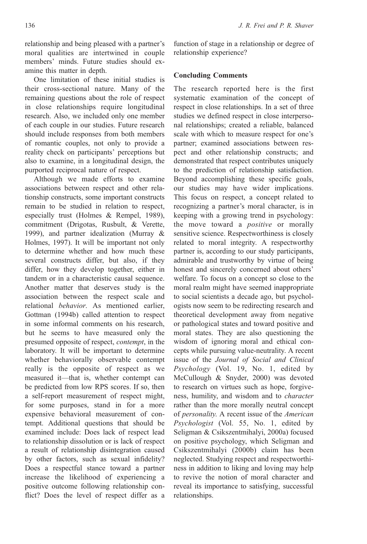relationship and being pleased with a partner's moral qualities are intertwined in couple members' minds. Future studies should examine this matter in depth.

One limitation of these initial studies is their cross-sectional nature. Many of the remaining questions about the role of respect in close relationships require longitudinal research. Also, we included only one member of each couple in our studies. Future research should include responses from both members of romantic couples, not only to provide a reality check on participants' perceptions but also to examine, in a longitudinal design, the purported reciprocal nature of respect.

Although we made efforts to examine associations between respect and other relationship constructs, some important constructs remain to be studied in relation to respect, especially trust (Holmes & Rempel, 1989), commitment (Drigotas, Rusbult, & Verette, 1999), and partner idealization (Murray & Holmes, 1997). It will be important not only to determine whether and how much these several constructs differ, but also, if they differ, how they develop together, either in tandem or in a characteristic causal sequence. Another matter that deserves study is the association between the respect scale and relational behavior. As mentioned earlier, Gottman (1994b) called attention to respect in some informal comments on his research, but he seems to have measured only the presumed opposite of respect, contempt, in the laboratory. It will be important to determine whether behaviorally observable contempt really is the opposite of respect as we measured it—that is, whether contempt can be predicted from low RPS scores. If so, then a self-report measurement of respect might, for some purposes, stand in for a more expensive behavioral measurement of contempt. Additional questions that should be examined include: Does lack of respect lead to relationship dissolution or is lack of respect a result of relationship disintegration caused by other factors, such as sexual infidelity? Does a respectful stance toward a partner increase the likelihood of experiencing a positive outcome following relationship conflict? Does the level of respect differ as a function of stage in a relationship or degree of relationship experience?

#### Concluding Comments

The research reported here is the first systematic examination of the concept of respect in close relationships. In a set of three studies we defined respect in close interpersonal relationships; created a reliable, balanced scale with which to measure respect for one's partner; examined associations between respect and other relationship constructs; and demonstrated that respect contributes uniquely to the prediction of relationship satisfaction. Beyond accomplishing these specific goals, our studies may have wider implications. This focus on respect, a concept related to recognizing a partner's moral character, is in keeping with a growing trend in psychology: the move toward a *positive* or morally sensitive science. Respectworthiness is closely related to moral integrity. A respectworthy partner is, according to our study participants, admirable and trustworthy by virtue of being honest and sincerely concerned about others' welfare. To focus on a concept so close to the moral realm might have seemed inappropriate to social scientists a decade ago, but psychologists now seem to be redirecting research and theoretical development away from negative or pathological states and toward positive and moral states. They are also questioning the wisdom of ignoring moral and ethical concepts while pursuing value-neutrality. A recent issue of the Journal of Social and Clinical Psychology (Vol. 19, No. 1, edited by McCullough & Snyder, 2000) was devoted to research on virtues such as hope, forgiveness, humility, and wisdom and to character rather than the more morally neutral concept of personality. A recent issue of the American Psychologist (Vol. 55, No. 1, edited by Seligman & Csikszentmihalyi, 2000a) focused on positive psychology, which Seligman and Csikszentmihalyi (2000b) claim has been neglected. Studying respect and respectworthiness in addition to liking and loving may help to revive the notion of moral character and reveal its importance to satisfying, successful relationships.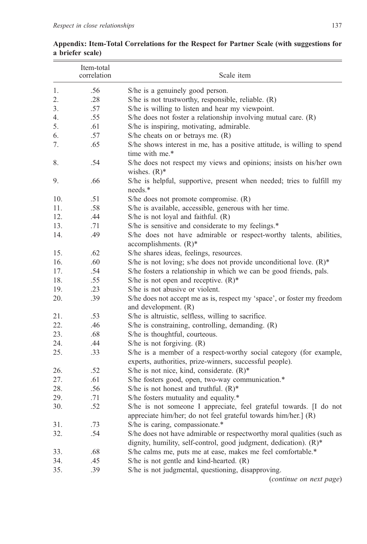|     | Item-total<br>correlation | Scale item                                                                                                                                  |
|-----|---------------------------|---------------------------------------------------------------------------------------------------------------------------------------------|
| 1.  | .56                       | S/he is a genuinely good person.                                                                                                            |
| 2.  | .28                       | S/he is not trustworthy, responsible, reliable. (R)                                                                                         |
| 3.  | .57                       | S/he is willing to listen and hear my viewpoint.                                                                                            |
| 4.  | .55                       | S/he does not foster a relationship involving mutual care. (R)                                                                              |
| 5.  | .61                       | S/he is inspiring, motivating, admirable.                                                                                                   |
| 6.  | .57                       | S/he cheats on or betrays me. (R)                                                                                                           |
| 7.  | .65                       | S/he shows interest in me, has a positive attitude, is willing to spend<br>time with me.*                                                   |
| 8.  | .54                       | S/he does not respect my views and opinions; insists on his/her own<br>wishes. $(R)^*$                                                      |
| 9.  | .66                       | S/he is helpful, supportive, present when needed; tries to fulfill my<br>needs.*                                                            |
| 10. | .51                       | S/he does not promote compromise. $(R)$                                                                                                     |
| 11. | .58                       | S/he is available, accessible, generous with her time.                                                                                      |
| 12. | .44                       | S/he is not loyal and faithful. $(R)$                                                                                                       |
| 13. | .71                       | S/he is sensitive and considerate to my feelings.*                                                                                          |
| 14. | .49                       | S/he does not have admirable or respect-worthy talents, abilities,<br>accomplishments. $(R)^*$                                              |
| 15. | .62                       | S/he shares ideas, feelings, resources.                                                                                                     |
| 16. | .60                       | S/he is not loving; s/he does not provide unconditional love. $(R)^*$                                                                       |
| 17. | .54                       | S/he fosters a relationship in which we can be good friends, pals.                                                                          |
| 18. | .55                       | S/he is not open and receptive. $(R)^*$                                                                                                     |
| 19. | .23                       | S/he is not abusive or violent.                                                                                                             |
| 20. | .39                       | S/he does not accept me as is, respect my 'space', or foster my freedom<br>and development. (R)                                             |
| 21. | .53                       | S/he is altruistic, selfless, willing to sacrifice.                                                                                         |
| 22. | .46                       | S/he is constraining, controlling, demanding. (R)                                                                                           |
| 23. | .68                       | S/he is thoughtful, courteous.                                                                                                              |
| 24. | .44                       | S/he is not forgiving. $(R)$                                                                                                                |
| 25. | .33                       | S/he is a member of a respect-worthy social category (for example,<br>experts, authorities, prize-winners, successful people).              |
| 26. | .52                       | S/he is not nice, kind, considerate. $(R)^*$                                                                                                |
| 27. | .61                       | S/he fosters good, open, two-way communication.*                                                                                            |
| 28. | .56                       | S/he is not honest and truthful. $(R)^*$                                                                                                    |
| 29. | .71                       | S/he fosters mutuality and equality.*                                                                                                       |
| 30. | .52                       | S/he is not someone I appreciate, feel grateful towards. [I do not<br>appreciate him/her; do not feel grateful towards him/her.] (R)        |
| 31. | .73                       | S/he is caring, compassionate.*                                                                                                             |
| 32. | .54                       | S/he does not have admirable or respectworthy moral qualities (such as<br>dignity, humility, self-control, good judgment, dedication). (R)* |
| 33. | .68                       | S/he calms me, puts me at ease, makes me feel comfortable.*                                                                                 |
| 34. | .45                       | S/he is not gentle and kind-hearted. (R)                                                                                                    |
| 35. | .39                       | S/he is not judgmental, questioning, disapproving.<br>(continue on next page)                                                               |

# Appendix: Item-Total Correlations for the Respect for Partner Scale (with suggestions for a briefer scale)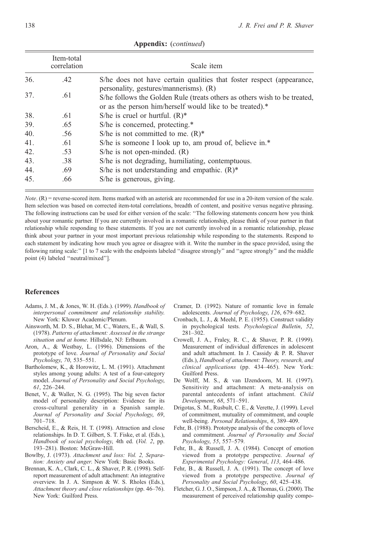|     | Item-total<br>correlation | Scale item                                                                                                                                                                      |
|-----|---------------------------|---------------------------------------------------------------------------------------------------------------------------------------------------------------------------------|
| 36. | .42                       | S/he does not have certain qualities that foster respect (appearance,                                                                                                           |
| 37. | .61                       | personality, gestures/mannerisms). (R)<br>S/he follows the Golden Rule (treats others as others wish to be treated,<br>or as the person him/herself would like to be treated).* |
| 38. | .61                       | S/he is cruel or hurtful. $(R)^*$                                                                                                                                               |
| 39. | .65                       | S/he is concerned, protecting.*                                                                                                                                                 |
| 40. | .56                       | S/he is not committed to me. $(R)^*$                                                                                                                                            |
| 41. | .61                       | S/he is someone I look up to, am proud of, believe in.*                                                                                                                         |
| 42. | .53                       | S/he is not open-minded. $(R)$                                                                                                                                                  |
| 43. | .38                       | S/he is not degrading, humiliating, contemptuous.                                                                                                                               |
| 44. | .69                       | S/he is not understanding and empathic. $(R)^*$                                                                                                                                 |
| 45. | .66                       | S/he is generous, giving.                                                                                                                                                       |

Appendix: (continued)

 $Note. (R) = reverse-score$  item. Items marked with an asterisk are recommended for use in a 20-item version of the scale. Item selection was based on corrected item-total correlations, breadth of content, and positive versus negative phrasing. The following instructions can be used for either version of the scale: ''The following statements concern how you think about your romantic partner. If you are currently involved in a romantic relationship, please think of your partner in that relationship while responding to these statements. If you are not currently involved in a romantic relationship, please think about your partner in your most important previous relationship while responding to the statements. Respond to each statement by indicating how much you agree or disagree with it. Write the number in the space provided, using the following rating scale:" [1 to 7 scale with the endpoints labeled "disagree strongly" and "agree strongly" and the middle point (4) labeled ''neutral/mixed''].

#### References

- Adams, J. M., & Jones, W. H. (Eds.). (1999). Handbook of interpersonal commitment and relationship stability. New York: Kluwer Academic/Plenum.
- Ainsworth, M. D. S., Blehar, M. C., Waters, E., & Wall, S. (1978). Patterns of attachment: Assessed in the strange situation and at home. Hillsdale, NJ: Erlbaum.
- Aron, A., & Westbay, L. (1996). Dimensions of the prototype of love. Journal of Personality and Social Psychology, 70, 535–551.
- Bartholomew, K., & Horowitz, L. M. (1991). Attachment styles among young adults: A test of a four-category model. Journal of Personality and Social Psychology, 61, 226–244.
- Benet, V., & Waller, N. G. (1995). The big seven factor model of personality description: Evidence for its cross-cultural generality in a Spanish sample. Journal of Personality and Social Psychology, 69, 701–718.
- Berscheid, E., & Reis, H. T. (1998). Attraction and close relationships. In D. T. Gilbert, S. T. Fiske, et al. (Eds.), Handbook of social psychology, 4th ed. (Vol. 2, pp. 193–281). Boston: McGraw-Hill.
- Bowlby, J. (1973). Attachment and loss: Vol. 2, Separation: Anxiety and anger. New York: Basic Books.
- Brennan, K. A., Clark, C. L., & Shaver, P. R. (1998). Selfreport measurement of adult attachment: An integrative overview. In J. A. Simpson & W. S. Rholes (Eds.), Attachment theory and close relationships (pp. 46–76). New York: Guilford Press.
- Cramer, D. (1992). Nature of romantic love in female adolescents. Journal of Psychology, 126, 679–682.
- Cronbach, L. J., & Meehl, P. E. (1955). Construct validity in psychological tests. Psychological Bulletin, 52, 281–302.
- Crowell, J. A., Fraley, R. C., & Shaver, P. R. (1999). Measurement of individual differences in adolescent and adult attachment. In J. Cassidy & P. R. Shaver (Eds.), Handbook of attachment: Theory, research, and clinical applications (pp. 434–465). New York: Guilford Press.
- De Wolff, M. S., & van IJzendoorn, M. H. (1997). Sensitivity and attachment: A meta-analysis on parental antecedents of infant attachment. Child Development, 68, 571–591.
- Drigotas, S. M., Rusbult, C. E., & Verette, J. (1999). Level of commitment, mutuality of commitment, and couple well-being. Personal Relationships, 6, 389–409.
- Fehr, B. (1988). Prototype analysis of the concepts of love and commitment. Journal of Personality and Social Psychology, 55, 557–579.
- Fehr, B., & Russell, J. A. (1984). Concept of emotion viewed from a prototype perspective. Journal of Experimental Psychology: General, 113, 464–486.
- Fehr, B., & Russell, J. A. (1991). The concept of love viewed from a prototype perspective. Journal of Personality and Social Psychology, 60, 425–438.
- Fletcher, G. J. O., Simpson, J. A., & Thomas, G. (2000). The measurement of perceived relationship quality compo-